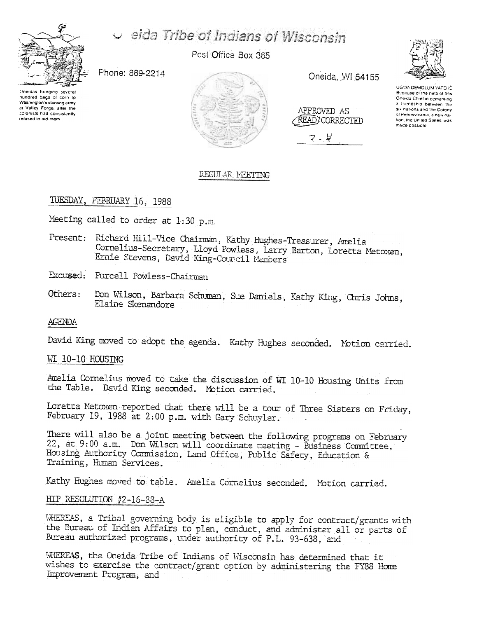

# eida Tribe of Indians of Wisconsin

Post Office Box 365

Phone: 869-2214

Oneidas bringing several hundred bags of corn to Washington's starving army at Valley Force, after the colonists had consistently relused to aid-them



Oneida, WI 54155

| APPROVED AS<br>READ/CORRECTED |  |
|-------------------------------|--|
| ₩                             |  |



UGWA DEMOLUM YATEHE Because of the help of this Oneida Chief in cementing a friendship between the six nations and the Colony of Pennsylvania, a new nafion, the United States, was made possible

# REGULAR MEETING

TUESDAY, FEBRUARY 16, 1988

Meeting called to order at 1:30 p.m.

Present: Richard Hill-Vice Chairman, Kathy Hughes-Treasurer, Amelia Cornelius-Secretary, Lloyd Powless, Larry Barton, Loretta Metoxen, Ernie Stevens, David King-Council Members

Excused: Furcell Powless-Chairman

Don Wilson, Barbara Schuman, Sue Daniels, Kathy King, Chris Johns, Others: Elaine Skenandore

**AGENDA** 

David King moved to adopt the agenda. Kathy Hughes seconded. Motion carried.

## WI 10-10 HOUSING

Amelia Cornelius moved to take the discussion of WI 10-10 Housing Units from the Table. David King seconded. Motion carried.

Loretta Metoxen reported that there will be a tour of Three Sisters on Friday, February 19, 1988 at 2:00 p.m. with Gary Schuyler.

There will also be a joint meeting between the following programs on February 22, at 9:00 a.m. Don Wilson will coordinate meeting - Business Committee, Housing Authority Commission, Land Office, Public Safety, Education & Training, Human Services.

Kathy Hughes moved to table. Amelia Cornelius seconded. Motion carried.

# HIP RESOLUTION #2-16-88-A

WHEREAS, a Tribal governing body is eligible to apply for contract/grants with the Eureau of Indian Affairs to plan, conduct, and administer all or parts of Bureau authorized programs, under authority of P.L. 93-638, and

WHEREAS, the Oneida Tribe of Indians of Wisconsin has determined that it wishes to exercise the contract/grant option by administering the FY88 Home Improvement Program, and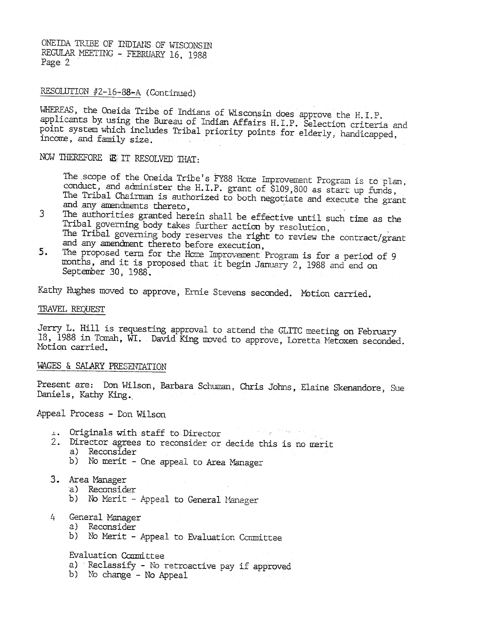ONEIDA TRIBE OF INDIANS OF WISCONSIN REGULAR MEETING - FEBRUARY 16, 1988 Page 2

# RESOLUTION #2-16-88-A (Continued)

WHEREAS, the Oneida Tribe of Indians of Wisconsin does approve the H.I.P. applicants by using the Bureau of Indian Affairs H.I.P. Selection criteria and point system which includes Tribal priority points for elderly, handicapped, income, and family size.

NOW THEREFORE IS IT RESOLVED THAT:

The scope of the Oneida Tribe's FY88 Home Improvement Program is to plan, conduct, and administer the H.I.P. grant of \$109,800 as start up funds, The Tribal Chairman is authorized to both negotiate and execute the grant and any amendments thereto,

- 3 The authorities granted herein shall be effective until such time as the Tribal governing body takes further action by resolution, The Tribal governing body reserves the right to review the contract/grant and any amendment thereto before execution,
- The proposed term for the Home Improvement Program is for a period of 9  $5.$ months, and it is proposed that it begin January 2, 1988 and end on September 30, 1988.

Kathy Hughes moved to approve, Ernie Stevens seconded. Motion carried.

#### TRAVEL REQUEST

Jerry L. Hill is requesting approval to attend the GLITC meeting on February 18, 1988 in Tomah, WI. David King moved to approve, Loretta Metoxen seconded. Motion carried.

#### WAGES & SALARY PRESENTATION

Present are: Don Wilson, Barbara Schuman, Chris Johns, Elaine Skenandore, Sue Daniels, Kathy King.

Appeal Process - Don Wilson

- ال من الأولاد الأول في الأول الأول الأول الأول الأول الأول الأول الأول الأول الأول الأول الأول الأول<br>الأول الأول الأول الأول الأول الأول الأول الأول الأول الأول الأول الأول الأول الأول الأول الأول الأول الأول ال 1. Originals with staff to Director
- 2. Director agrees to reconsider or decide this is no merit a) Reconsider
	- b) No merit One appeal to Area Manager
- 3. Area Manager
	- a) Reconsider
	- b) No Merit Appeal to General Manager
- $4<sup>1</sup>$ General Manager
	- a) Reconsider
	- b) No Merit Appeal to Evaluation Committee

Evaluation Committee

- a) Reclassify No retroactive pay if approved
- b) No change No Appeal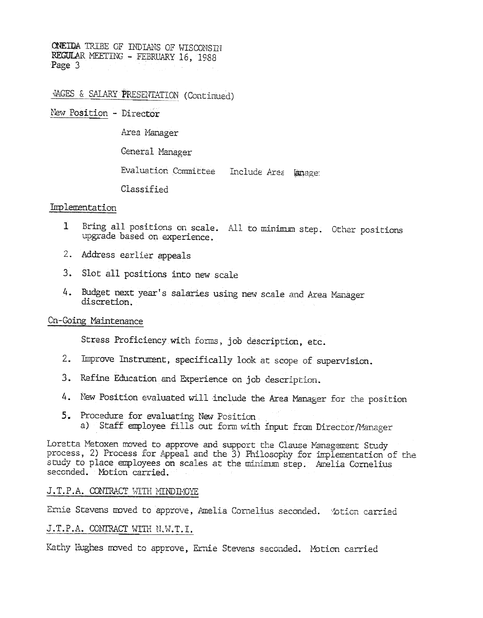ONEIDA TRIBE OF INDIANS OF WISCONSIN REGULAR MEETING - FEBRUARY 16, 1988 Page 3

VAGES & SALARY PRESENTATION (Continued)

New Position - Director

Area Manager

General Manager

Evaluation Committee Include Area Emage.

Classified

## Implementation

- Bring all positions on scale. All to minimum step. Other positions  $\mathbf{1}$ upgrade based on experience.
- 2. Address earlier appeals
- 3. Slot all positions into new scale
- 4. Budget next year's salaries using new scale and Area Manager discretion.

## Cn-Going Maintenance

Stress Proficiency with forms, job description, etc.

- $2.$ Improve Instrument, specifically look at scope of supervision.
- 3. Refine Education and Experience on job description.
- 4. New Position evaluated will include the Area Manager for the position
- 5. Procedure for evaluating New Position a) Staff employee fills out form with input from Director/Manager

Loretta Metoxen moved to approve and support the Clause Management Study process, 2) Process for Appeal and the 3) Philosophy for implementation of the study to place employees on scales at the minimum step. Amelia Cornelius seconded. Motion carried.

## J.T.P.A. CONTRACT WITH MINDIMOYE

Ernie Stevens moved to approve, Amelia Cornelius seconded. Motion carried

# J.T.P.A. CONTRACT WITH N.W.T.I.

Kathy Hughes moved to approve, Ernie Stevens seconded. Motion carried